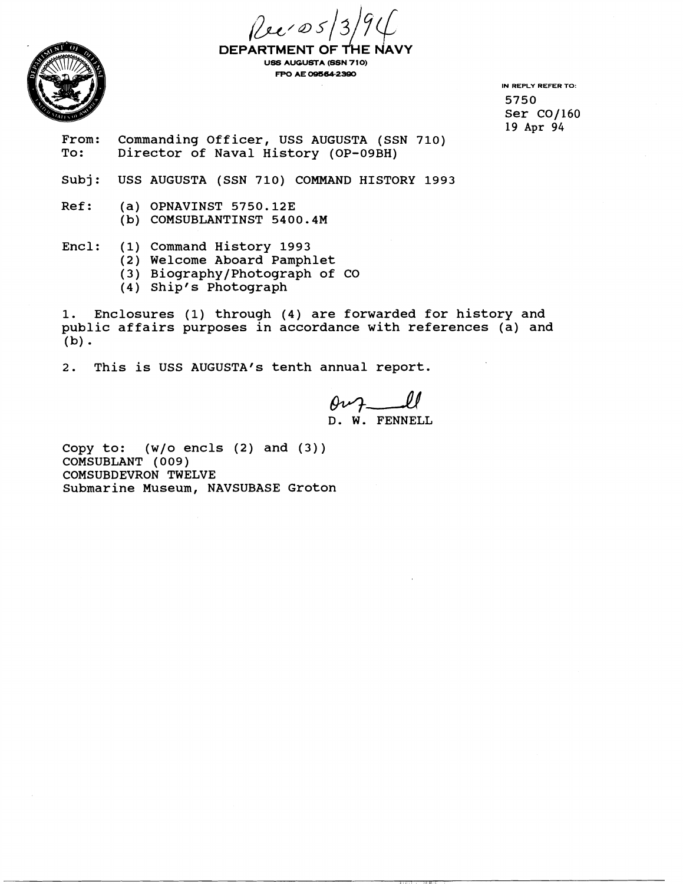



**DEPART MENT OF USS AUGUSTA (SSN 710) FPO AE 09564-2390** 

**IN REPLY REFER TO:**  5750 Ser CO/160 19 Apr *94* 

From: Commanding Officer, USS AUGUSTA (SSN 710)<br>To: Director of Naval History (OP-09BH) Director of Naval History (OP-09BH)

Subj: USS AUGUSTA (SSN 710) COMMAND HISTORY 1993

Ref: (a) OPNAVINST 5750.12E (b) COMSUBLANTINST 5400.4M

Encl: (1) Command History 1993

- (2) Welcome Aboard Pamphlet
- (3) Biography/Photograph of CO
- (4) Ship's Photograph

1. Enclosures (1) through (4) are forwarded for history and public affairs purposes in accordance with references (a) and  $(b)$ .

2. This is USS AUGUSTA's tenth annual report.

 $0\nu$  and D. W. FENNELL

Copy to:  $(w/o \text{ encls} (2) \text{ and } (3))$ COMSUBLANT ( 009 ) COMSUBDEVRON TWELVE Submarine Museum, NAVSUBASE Groton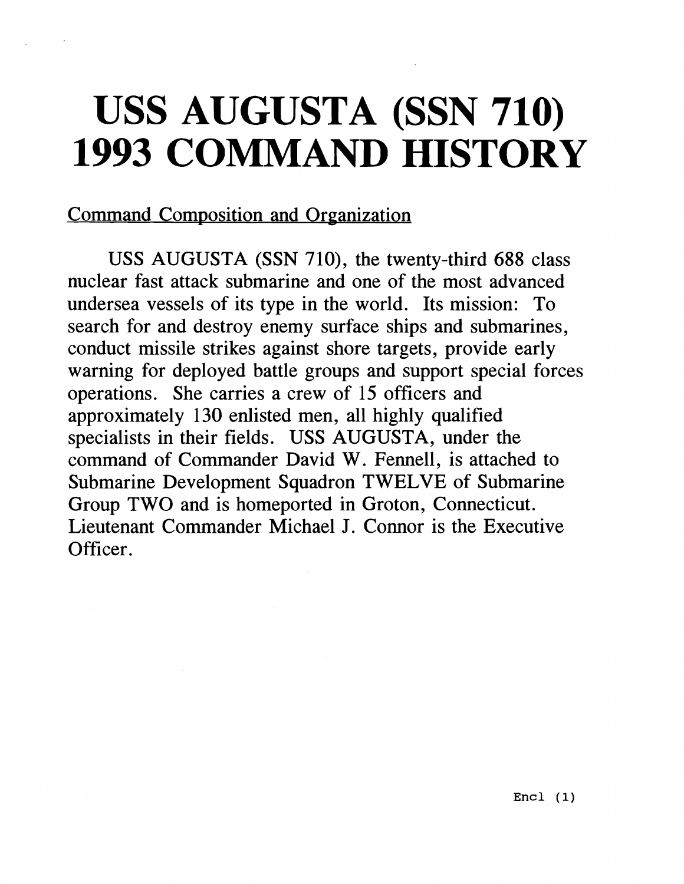## **USS AUGUSTA (SSN 710) 1993 COMMAND HISTORY**

## Command Composition and Organization

USS AUGUSTA (SSN 710), the twenty-third 688 class nuclear fast attack submarine and one of the most advanced undersea vessels of its type in the world. Its mission: To search for and destroy enemy surface ships and submarines, conduct missile strikes against shore targets, provide early warning for deployed battle groups and support special forces operations. She carries a crew of 15 officers and approximately 130 enlisted men, all highly qualified specialists in their fields. USS AUGUSTA, under the command of Commander David W. Fennell, is attached to Submarine Development Squadron TWELVE of Submarine Group TWO and is homeported in Groton, Connecticut. Lieutenant Commander Michael J. Connor is the Executive Officer.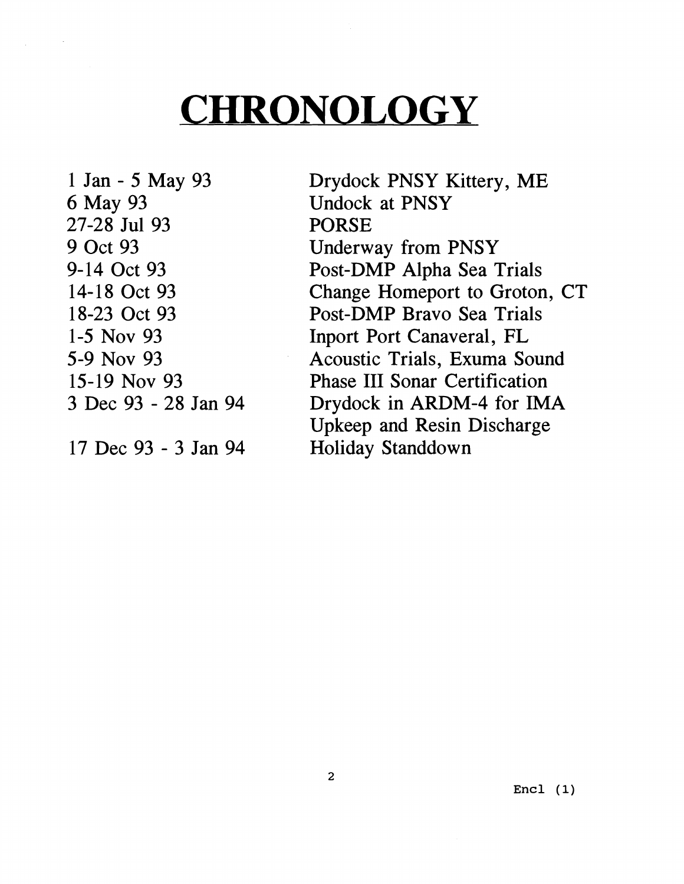## **CHRONOLOGY**

1 Jan - 5 May 93 6 May 93 27-28 Jul 93 9 Oct 93 9-14 Oct 93 14-18 Oct 93 18-23 Oct 93 1-5 NOV 93 5-9 NOV 93 15-19 Nov 93 3 Dec 93 - 28 Jan 94

17 Dec 93 - 3 Jan 94

Drydock PNSY Kittery, ME Undock at PNSY PORSE Underway from PNSY Post-DMP Alpha Sea Trials Change Homeport to Groton, CT Post-DMP Bravo Sea Trials Inport Port Canaveral, FL Acoustic Trials, Exuma Sound Phase I11 Sonar Certification Drydock in ARDM-4 for IMA Upkeep and Resin Discharge Holiday Standdown